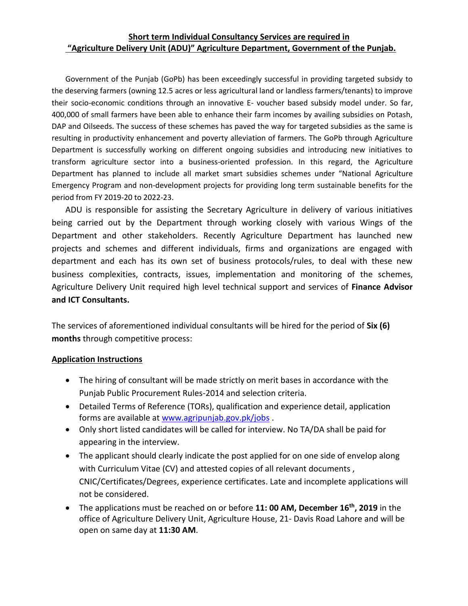## **Short term Individual Consultancy Services are required in "Agriculture Delivery Unit (ADU)" Agriculture Department, Government of the Punjab.**

Government of the Punjab (GoPb) has been exceedingly successful in providing targeted subsidy to the deserving farmers (owning 12.5 acres or less agricultural land or landless farmers/tenants) to improve their socio-economic conditions through an innovative E- voucher based subsidy model under. So far, 400,000 of small farmers have been able to enhance their farm incomes by availing subsidies on Potash, DAP and Oilseeds. The success of these schemes has paved the way for targeted subsidies as the same is resulting in productivity enhancement and poverty alleviation of farmers. The GoPb through Agriculture Department is successfully working on different ongoing subsidies and introducing new initiatives to transform agriculture sector into a business-oriented profession. In this regard, the Agriculture Department has planned to include all market smart subsidies schemes under "National Agriculture Emergency Program and non-development projects for providing long term sustainable benefits for the period from FY 2019-20 to 2022-23.

ADU is responsible for assisting the Secretary Agriculture in delivery of various initiatives being carried out by the Department through working closely with various Wings of the Department and other stakeholders. Recently Agriculture Department has launched new projects and schemes and different individuals, firms and organizations are engaged with department and each has its own set of business protocols/rules, to deal with these new business complexities, contracts, issues, implementation and monitoring of the schemes, Agriculture Delivery Unit required high level technical support and services of **Finance Advisor and ICT Consultants.**

The services of aforementioned individual consultants will be hired for the period of **Six (6) months** through competitive process:

#### **Application Instructions**

- The hiring of consultant will be made strictly on merit bases in accordance with the Punjab Public Procurement Rules-2014 and selection criteria.
- Detailed Terms of Reference (TORs), qualification and experience detail, application forms are available a[t www.agripunjab.gov.pk/jobs](http://www.agripunjab.gov.pk/jobs) .
- Only short listed candidates will be called for interview. No TA/DA shall be paid for appearing in the interview.
- The applicant should clearly indicate the post applied for on one side of envelop along with Curriculum Vitae (CV) and attested copies of all relevant documents , CNIC/Certificates/Degrees, experience certificates. Late and incomplete applications will not be considered.
- The applications must be reached on or before **11: 00 AM, December 16 th, 2019** in the office of Agriculture Delivery Unit, Agriculture House, 21- Davis Road Lahore and will be open on same day at **11:30 AM**.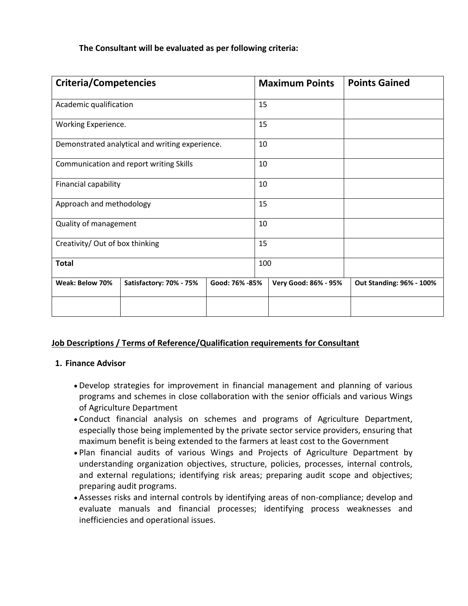## **The Consultant will be evaluated as per following criteria:**

| <b>Criteria/Competencies</b>                    |                         |                | <b>Maximum Points</b> |                      | <b>Points Gained</b>     |
|-------------------------------------------------|-------------------------|----------------|-----------------------|----------------------|--------------------------|
| Academic qualification                          |                         |                | 15                    |                      |                          |
| Working Experience.                             |                         |                | 15                    |                      |                          |
| Demonstrated analytical and writing experience. |                         |                | 10                    |                      |                          |
| Communication and report writing Skills         |                         |                | 10                    |                      |                          |
| Financial capability                            |                         |                | 10                    |                      |                          |
| Approach and methodology                        |                         |                | 15                    |                      |                          |
| Quality of management                           |                         |                | 10                    |                      |                          |
| Creativity/ Out of box thinking                 |                         |                | 15                    |                      |                          |
| <b>Total</b>                                    |                         |                | 100                   |                      |                          |
| Weak: Below 70%                                 | Satisfactory: 70% - 75% | Good: 76% -85% |                       | Very Good: 86% - 95% | Out Standing: 96% - 100% |
|                                                 |                         |                |                       |                      |                          |

## **Job Descriptions / Terms of Reference/Qualification requirements for Consultant**

### **1. Finance Advisor**

- Develop strategies for improvement in financial management and planning of various programs and schemes in close collaboration with the senior officials and various Wings of Agriculture Department
- Conduct financial analysis on schemes and programs of Agriculture Department, especially those being implemented by the private sector service providers, ensuring that maximum benefit is being extended to the farmers at least cost to the Government
- Plan financial audits of various Wings and Projects of Agriculture Department by understanding organization objectives, structure, policies, processes, internal controls, and external regulations; identifying risk areas; preparing audit scope and objectives; preparing audit programs.
- Assesses risks and internal controls by identifying areas of non-compliance; develop and evaluate manuals and financial processes; identifying process weaknesses and inefficiencies and operational issues.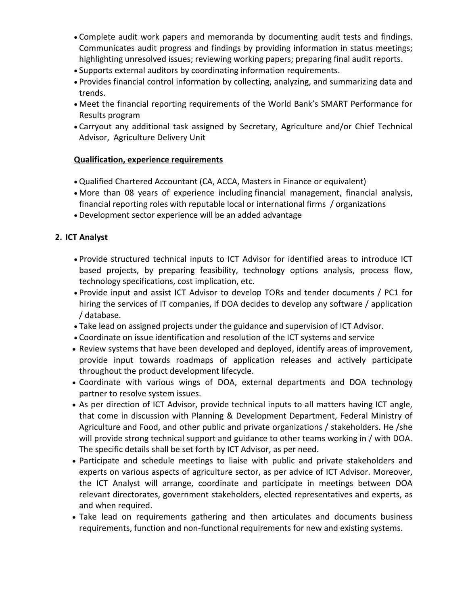- Complete audit work papers and memoranda by documenting audit tests and findings. Communicates audit progress and findings by providing information in status meetings; highlighting unresolved issues; reviewing working papers; preparing final audit reports.
- Supports external auditors by coordinating information requirements.
- Provides financial control information by collecting, analyzing, and summarizing data and trends.
- Meet the financial reporting requirements of the World Bank's SMART Performance for Results program
- Carryout any additional task assigned by Secretary, Agriculture and/or Chief Technical Advisor, Agriculture Delivery Unit

# **Qualification, experience requirements**

- Qualified Chartered Accountant (CA, ACCA, Masters in Finance or equivalent)
- More than 08 years of experience including financial management, financial analysis, financial reporting roles with reputable local or international firms / organizations
- Development sector experience will be an added advantage

# **2. ICT Analyst**

- Provide structured technical inputs to ICT Advisor for identified areas to introduce ICT based projects, by preparing feasibility, technology options analysis, process flow, technology specifications, cost implication, etc.
- Provide input and assist ICT Advisor to develop TORs and tender documents / PC1 for hiring the services of IT companies, if DOA decides to develop any software / application / database.
- Take lead on assigned projects under the guidance and supervision of ICT Advisor.
- Coordinate on issue identification and resolution of the ICT systems and service
- Review systems that have been developed and deployed, identify areas of improvement, provide input towards roadmaps of application releases and actively participate throughout the product development lifecycle.
- Coordinate with various wings of DOA, external departments and DOA technology partner to resolve system issues.
- As per direction of ICT Advisor, provide technical inputs to all matters having ICT angle, that come in discussion with Planning & Development Department, Federal Ministry of Agriculture and Food, and other public and private organizations / stakeholders. He /she will provide strong technical support and guidance to other teams working in / with DOA. The specific details shall be set forth by ICT Advisor, as per need.
- Participate and schedule meetings to liaise with public and private stakeholders and experts on various aspects of agriculture sector, as per advice of ICT Advisor. Moreover, the ICT Analyst will arrange, coordinate and participate in meetings between DOA relevant directorates, government stakeholders, elected representatives and experts, as and when required.
- Take lead on requirements gathering and then articulates and documents business requirements, function and non-functional requirements for new and existing systems.